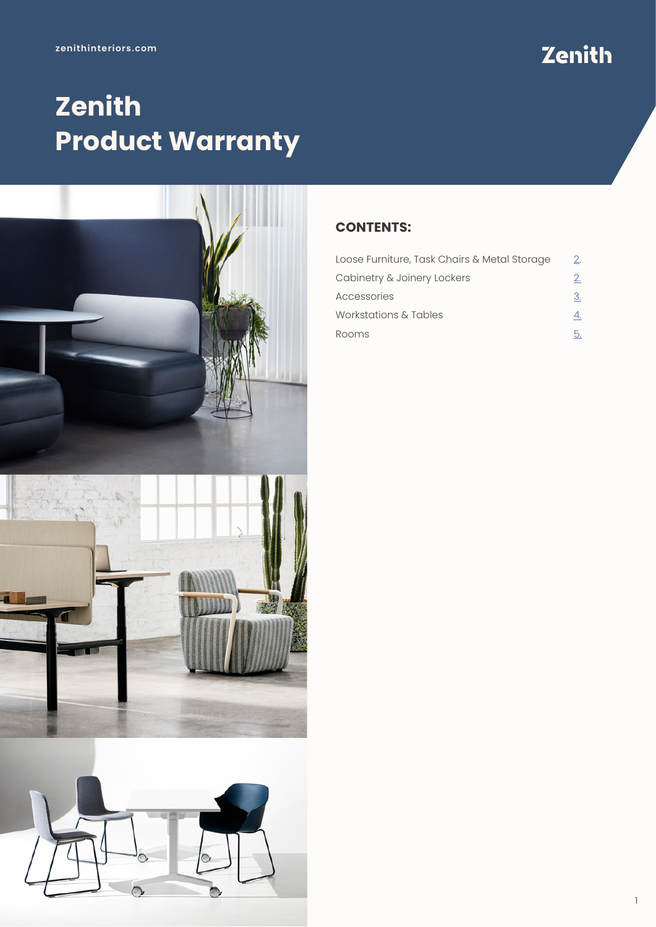## Zenith

## **Zenith Product Warranty**



## **CONTENTS:**

| Loose Furniture, Task Chairs & Metal Storage | 2. |
|----------------------------------------------|----|
| Cabinetry & Joinery Lockers                  | 2. |
| Accessories                                  | З. |
| Workstations & Tables                        |    |
| Rooms                                        |    |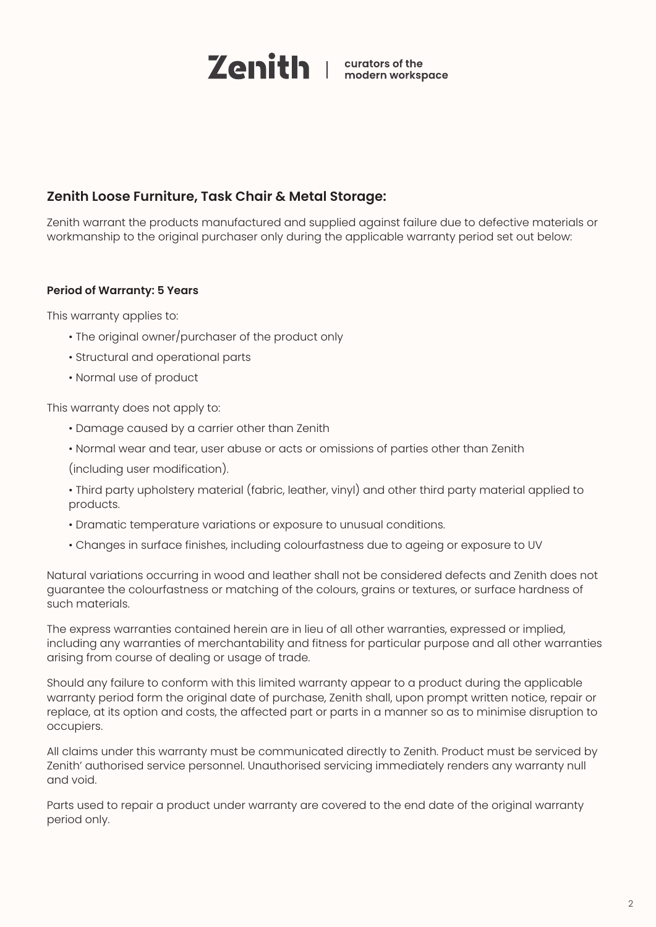

## <span id="page-1-0"></span>**Zenith Loose Furniture, Task Chair & Metal Storage:**

Zenith warrant the products manufactured and supplied against failure due to defective materials or workmanship to the original purchaser only during the applicable warranty period set out below:

## **Period of Warranty: 5 Years**

This warranty applies to:

- The original owner/purchaser of the product only
- Structural and operational parts
- Normal use of product

This warranty does not apply to:

- Damage caused by a carrier other than Zenith
- Normal wear and tear, user abuse or acts or omissions of parties other than Zenith

(including user modification).

- Third party upholstery material (fabric, leather, vinyl) and other third party material applied to products.
- Dramatic temperature variations or exposure to unusual conditions.
- Changes in surface finishes, including colourfastness due to ageing or exposure to UV

Natural variations occurring in wood and leather shall not be considered defects and Zenith does not guarantee the colourfastness or matching of the colours, grains or textures, or surface hardness of such materials.

The express warranties contained herein are in lieu of all other warranties, expressed or implied, including any warranties of merchantability and fitness for particular purpose and all other warranties arising from course of dealing or usage of trade.

Should any failure to conform with this limited warranty appear to a product during the applicable warranty period form the original date of purchase, Zenith shall, upon prompt written notice, repair or replace, at its option and costs, the affected part or parts in a manner so as to minimise disruption to occupiers.

All claims under this warranty must be communicated directly to Zenith. Product must be serviced by Zenith' authorised service personnel. Unauthorised servicing immediately renders any warranty null and void.

Parts used to repair a product under warranty are covered to the end date of the original warranty period only.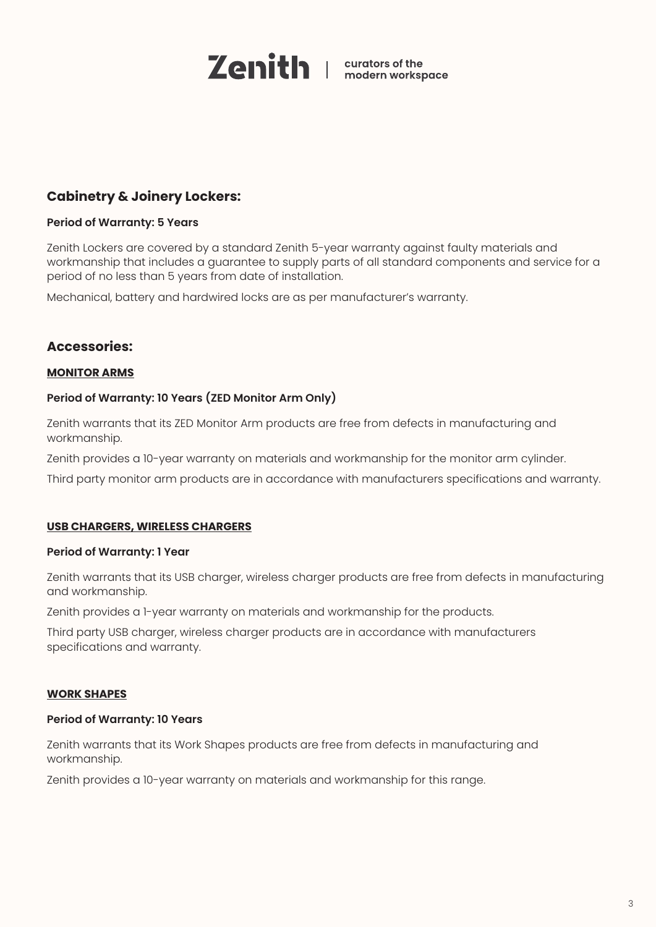

## <span id="page-2-0"></span>**Cabinetry & Joinery Lockers:**

## **Period of Warranty: 5 Years**

Zenith Lockers are covered by a standard Zenith 5-year warranty against faulty materials and workmanship that includes a guarantee to supply parts of all standard components and service for a period of no less than 5 years from date of installation.

Mechanical, battery and hardwired locks are as per manufacturer's warranty.

## **Accessories:**

## **MONITOR ARMS**

## **Period of Warranty: 10 Years (ZED Monitor Arm Only)**

Zenith warrants that its ZED Monitor Arm products are free from defects in manufacturing and workmanship.

Zenith provides a 10-year warranty on materials and workmanship for the monitor arm cylinder.

Third party monitor arm products are in accordance with manufacturers specifications and warranty.

## **USB CHARGERS, WIRELESS CHARGERS**

#### **Period of Warranty: 1 Year**

Zenith warrants that its USB charger, wireless charger products are free from defects in manufacturing and workmanship.

Zenith provides a 1-year warranty on materials and workmanship for the products.

Third party USB charger, wireless charger products are in accordance with manufacturers specifications and warranty.

## **WORK SHAPES**

#### **Period of Warranty: 10 Years**

Zenith warrants that its Work Shapes products are free from defects in manufacturing and workmanship.

Zenith provides a 10-year warranty on materials and workmanship for this range.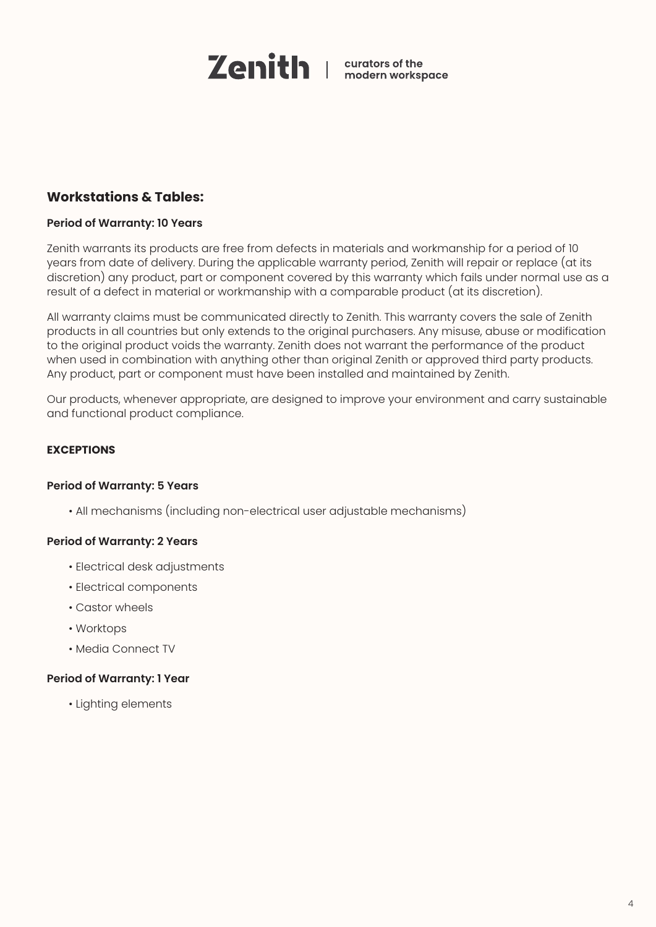

## <span id="page-3-0"></span>**Workstations & Tables:**

## **Period of Warranty: 10 Years**

Zenith warrants its products are free from defects in materials and workmanship for a period of 10 years from date of delivery. During the applicable warranty period, Zenith will repair or replace (at its discretion) any product, part or component covered by this warranty which fails under normal use as a result of a defect in material or workmanship with a comparable product (at its discretion).

All warranty claims must be communicated directly to Zenith. This warranty covers the sale of Zenith products in all countries but only extends to the original purchasers. Any misuse, abuse or modification to the original product voids the warranty. Zenith does not warrant the performance of the product when used in combination with anything other than original Zenith or approved third party products. Any product, part or component must have been installed and maintained by Zenith.

Our products, whenever appropriate, are designed to improve your environment and carry sustainable and functional product compliance.

## **EXCEPTIONS**

## **Period of Warranty: 5 Years**

• All mechanisms (including non-electrical user adjustable mechanisms)

## **Period of Warranty: 2 Years**

- Electrical desk adjustments
- Electrical components
- Castor wheels
- Worktops
- Media Connect TV

## **Period of Warranty: 1 Year**

• Lighting elements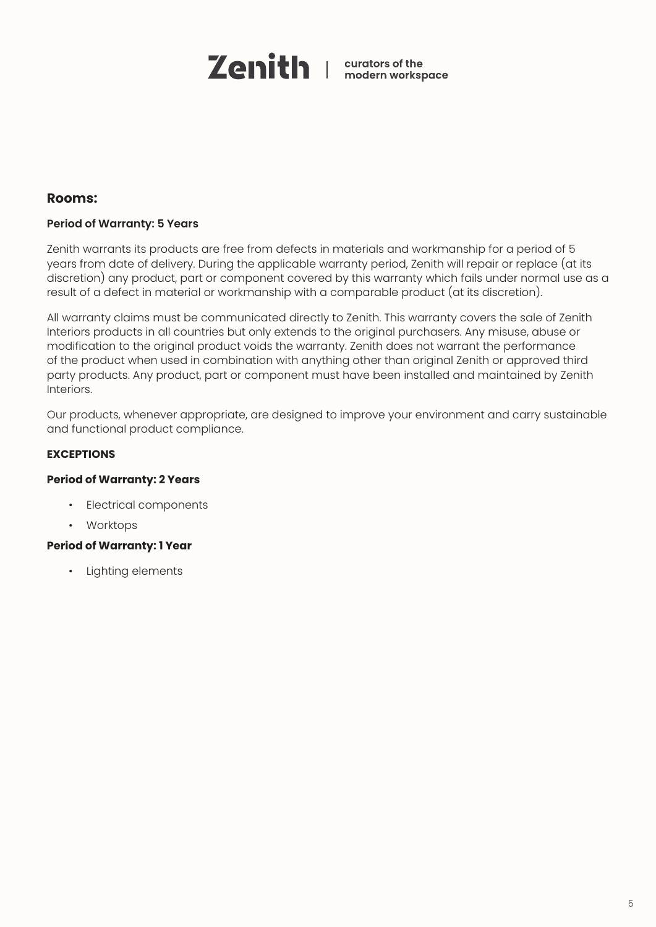

## <span id="page-4-0"></span>**Rooms:**

## **Period of Warranty: 5 Years**

Zenith warrants its products are free from defects in materials and workmanship for a period of 5 years from date of delivery. During the applicable warranty period, Zenith will repair or replace (at its discretion) any product, part or component covered by this warranty which fails under normal use as a result of a defect in material or workmanship with a comparable product (at its discretion).

All warranty claims must be communicated directly to Zenith. This warranty covers the sale of Zenith Interiors products in all countries but only extends to the original purchasers. Any misuse, abuse or modification to the original product voids the warranty. Zenith does not warrant the performance of the product when used in combination with anything other than original Zenith or approved third party products. Any product, part or component must have been installed and maintained by Zenith Interiors.

Our products, whenever appropriate, are designed to improve your environment and carry sustainable and functional product compliance.

## **EXCEPTIONS**

## **Period of Warranty: 2 Years**

- Electrical components
- Worktops

## **Period of Warranty: 1 Year**

• Lighting elements